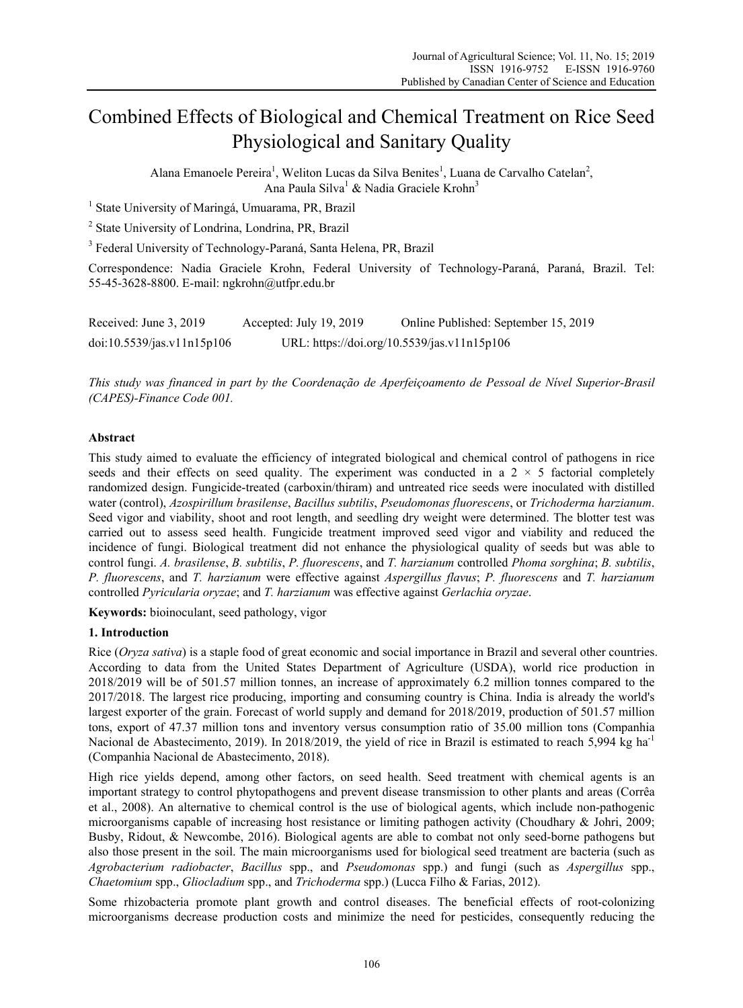# Combined Effects of Biological and Chemical Treatment on Rice Seed Physiological and Sanitary Quality

Alana Emanoele Pereira<sup>1</sup>, Weliton Lucas da Silva Benites<sup>1</sup>, Luana de Carvalho Catelan<sup>2</sup>, Ana Paula Silva<sup>1</sup> & Nadia Graciele Krohn<sup>3</sup>

<sup>1</sup> State University of Maringá, Umuarama, PR, Brazil

<sup>2</sup> State University of Londrina, Londrina, PR, Brazil

<sup>3</sup> Federal University of Technology-Paraná, Santa Helena, PR, Brazil

Correspondence: Nadia Graciele Krohn, Federal University of Technology-Paraná, Paraná, Brazil. Tel: 55-45-3628-8800. E-mail: ngkrohn@utfpr.edu.br

| Received: June 3, 2019     | Accepted: July 19, 2019                     | Online Published: September 15, 2019 |
|----------------------------|---------------------------------------------|--------------------------------------|
| doi:10.5539/jas.v11n15p106 | URL: https://doi.org/10.5539/jas.v11n15p106 |                                      |

*This study was financed in part by the Coordenação de Aperfeiçoamento de Pessoal de Nível Superior-Brasil (CAPES)-Finance Code 001.* 

## **Abstract**

This study aimed to evaluate the efficiency of integrated biological and chemical control of pathogens in rice seeds and their effects on seed quality. The experiment was conducted in a  $2 \times 5$  factorial completely randomized design. Fungicide-treated (carboxin/thiram) and untreated rice seeds were inoculated with distilled water (control), *Azospirillum brasilense*, *Bacillus subtilis*, *Pseudomonas fluorescens*, or *Trichoderma harzianum*. Seed vigor and viability, shoot and root length, and seedling dry weight were determined. The blotter test was carried out to assess seed health. Fungicide treatment improved seed vigor and viability and reduced the incidence of fungi. Biological treatment did not enhance the physiological quality of seeds but was able to control fungi. *A. brasilense*, *B. subtilis*, *P. fluorescens*, and *T. harzianum* controlled *Phoma sorghina*; *B. subtilis*, *P. fluorescens*, and *T. harzianum* were effective against *Aspergillus flavus*; *P. fluorescens* and *T. harzianum* controlled *Pyricularia oryzae*; and *T. harzianum* was effective against *Gerlachia oryzae*.

**Keywords:** bioinoculant, seed pathology, vigor

#### **1. Introduction**

Rice (*Oryza sativa*) is a staple food of great economic and social importance in Brazil and several other countries. According to data from the United States Department of Agriculture (USDA), world rice production in 2018/2019 will be of 501.57 million tonnes, an increase of approximately 6.2 million tonnes compared to the 2017/2018. The largest rice producing, importing and consuming country is China. India is already the world's largest exporter of the grain. Forecast of world supply and demand for 2018/2019, production of 501.57 million tons, export of 47.37 million tons and inventory versus consumption ratio of 35.00 million tons (Companhia Nacional de Abastecimento, 2019). In 2018/2019, the yield of rice in Brazil is estimated to reach 5,994 kg ha<sup>-1</sup> (Companhia Nacional de Abastecimento, 2018).

High rice yields depend, among other factors, on seed health. Seed treatment with chemical agents is an important strategy to control phytopathogens and prevent disease transmission to other plants and areas (Corrêa et al., 2008). An alternative to chemical control is the use of biological agents, which include non-pathogenic microorganisms capable of increasing host resistance or limiting pathogen activity (Choudhary & Johri, 2009; Busby, Ridout, & Newcombe, 2016). Biological agents are able to combat not only seed-borne pathogens but also those present in the soil. The main microorganisms used for biological seed treatment are bacteria (such as *Agrobacterium radiobacter*, *Bacillus* spp., and *Pseudomonas* spp.) and fungi (such as *Aspergillus* spp., *Chaetomium* spp., *Gliocladium* spp., and *Trichoderma* spp.) (Lucca Filho & Farias, 2012).

Some rhizobacteria promote plant growth and control diseases. The beneficial effects of root-colonizing microorganisms decrease production costs and minimize the need for pesticides, consequently reducing the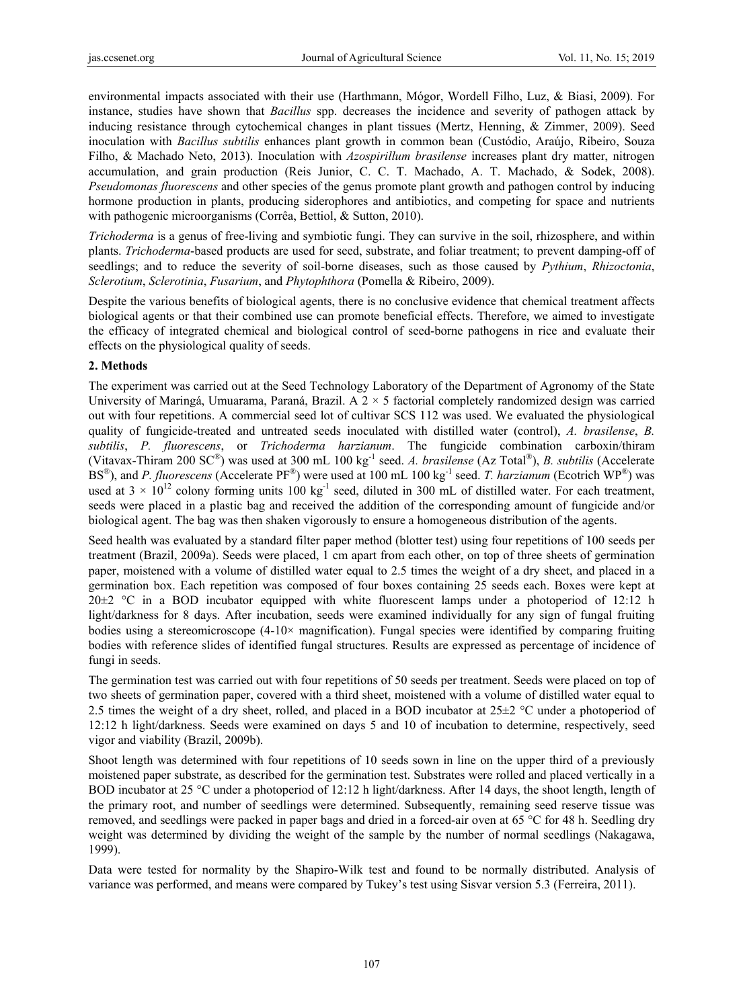environmental impacts associated with their use (Harthmann, Mógor, Wordell Filho, Luz, & Biasi, 2009). For instance, studies have shown that *Bacillus* spp. decreases the incidence and severity of pathogen attack by inducing resistance through cytochemical changes in plant tissues (Mertz, Henning, & Zimmer, 2009). Seed inoculation with *Bacillus subtilis* enhances plant growth in common bean (Custódio, Araújo, Ribeiro, Souza Filho, & Machado Neto, 2013). Inoculation with *Azospirillum brasilense* increases plant dry matter, nitrogen accumulation, and grain production (Reis Junior, C. C. T. Machado, A. T. Machado, & Sodek, 2008). *Pseudomonas fluorescens* and other species of the genus promote plant growth and pathogen control by inducing hormone production in plants, producing siderophores and antibiotics, and competing for space and nutrients with pathogenic microorganisms (Corrêa, Bettiol, & Sutton, 2010).

*Trichoderma* is a genus of free-living and symbiotic fungi. They can survive in the soil, rhizosphere, and within plants. *Trichoderma*-based products are used for seed, substrate, and foliar treatment; to prevent damping-off of seedlings; and to reduce the severity of soil-borne diseases, such as those caused by *Pythium*, *Rhizoctonia*, *Sclerotium*, *Sclerotinia*, *Fusarium*, and *Phytophthora* (Pomella & Ribeiro, 2009).

Despite the various benefits of biological agents, there is no conclusive evidence that chemical treatment affects biological agents or that their combined use can promote beneficial effects. Therefore, we aimed to investigate the efficacy of integrated chemical and biological control of seed-borne pathogens in rice and evaluate their effects on the physiological quality of seeds.

#### **2. Methods**

The experiment was carried out at the Seed Technology Laboratory of the Department of Agronomy of the State University of Maringá, Umuarama, Paraná, Brazil. A  $2 \times 5$  factorial completely randomized design was carried out with four repetitions. A commercial seed lot of cultivar SCS 112 was used. We evaluated the physiological quality of fungicide-treated and untreated seeds inoculated with distilled water (control), *A. brasilense*, *B. subtilis*, *P. fluorescens*, or *Trichoderma harzianum*. The fungicide combination carboxin/thiram (Vitavax-Thiram 200 SC®) was used at 300 mL 100 kg-1 seed. *A. brasilense* (Az Total®), *B. subtilis* (Accelerate BS<sup>®</sup>), and *P. fluorescens* (Accelerate PF<sup>®</sup>) were used at 100 mL 100 kg<sup>-1</sup> seed. *T. harzianum* (Ecotrich WP<sup>®</sup>) was used at  $3 \times 10^{12}$  colony forming units 100 kg<sup>-1</sup> seed, diluted in 300 mL of distilled water. For each treatment, seeds were placed in a plastic bag and received the addition of the corresponding amount of fungicide and/or biological agent. The bag was then shaken vigorously to ensure a homogeneous distribution of the agents.

Seed health was evaluated by a standard filter paper method (blotter test) using four repetitions of 100 seeds per treatment (Brazil, 2009a). Seeds were placed, 1 cm apart from each other, on top of three sheets of germination paper, moistened with a volume of distilled water equal to 2.5 times the weight of a dry sheet, and placed in a germination box. Each repetition was composed of four boxes containing 25 seeds each. Boxes were kept at  $20\pm2$  °C in a BOD incubator equipped with white fluorescent lamps under a photoperiod of 12:12 h light/darkness for 8 days. After incubation, seeds were examined individually for any sign of fungal fruiting bodies using a stereomicroscope (4-10× magnification). Fungal species were identified by comparing fruiting bodies with reference slides of identified fungal structures. Results are expressed as percentage of incidence of fungi in seeds.

The germination test was carried out with four repetitions of 50 seeds per treatment. Seeds were placed on top of two sheets of germination paper, covered with a third sheet, moistened with a volume of distilled water equal to 2.5 times the weight of a dry sheet, rolled, and placed in a BOD incubator at  $25\pm2$  °C under a photoperiod of 12:12 h light/darkness. Seeds were examined on days 5 and 10 of incubation to determine, respectively, seed vigor and viability (Brazil, 2009b).

Shoot length was determined with four repetitions of 10 seeds sown in line on the upper third of a previously moistened paper substrate, as described for the germination test. Substrates were rolled and placed vertically in a BOD incubator at 25 °C under a photoperiod of 12:12 h light/darkness. After 14 days, the shoot length, length of the primary root, and number of seedlings were determined. Subsequently, remaining seed reserve tissue was removed, and seedlings were packed in paper bags and dried in a forced-air oven at 65 °C for 48 h. Seedling dry weight was determined by dividing the weight of the sample by the number of normal seedlings (Nakagawa, 1999).

Data were tested for normality by the Shapiro-Wilk test and found to be normally distributed. Analysis of variance was performed, and means were compared by Tukey's test using Sisvar version 5.3 (Ferreira, 2011).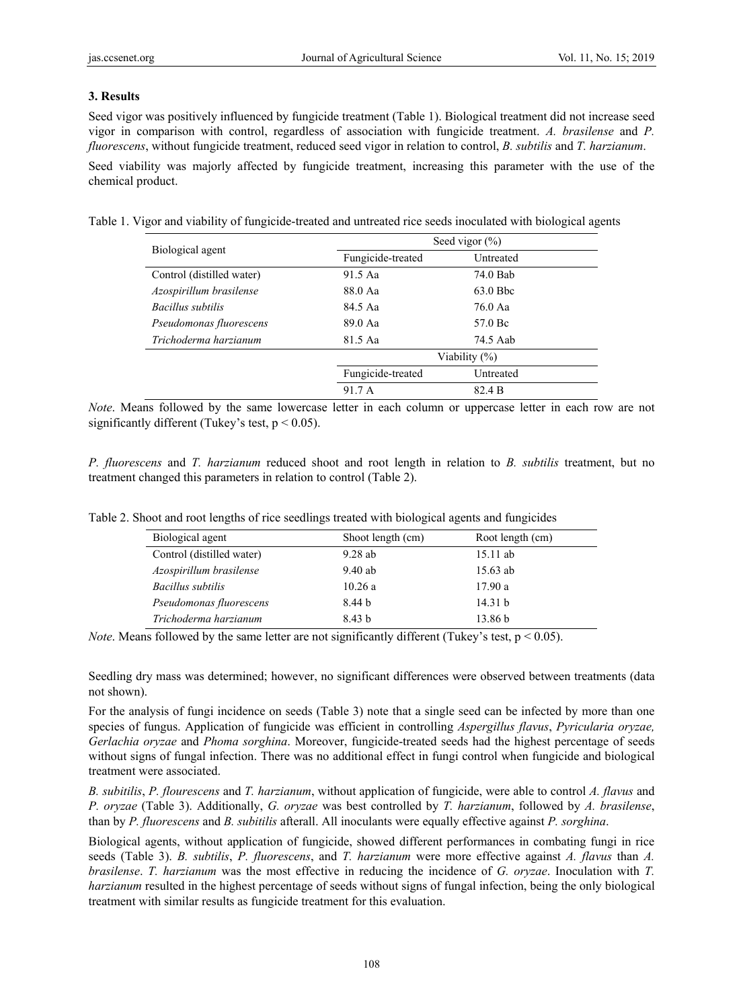### **3. Results**

Seed vigor was positively influenced by fungicide treatment (Table 1). Biological treatment did not increase seed vigor in comparison with control, regardless of association with fungicide treatment. *A. brasilense* and *P. fluorescens*, without fungicide treatment, reduced seed vigor in relation to control, *B. subtilis* and *T. harzianum*.

Seed viability was majorly affected by fungicide treatment, increasing this parameter with the use of the chemical product.

Table 1. Vigor and viability of fungicide-treated and untreated rice seeds inoculated with biological agents

| Biological agent          | Seed vigor $(\% )$ |            |  |  |
|---------------------------|--------------------|------------|--|--|
|                           | Fungicide-treated  | Untreated  |  |  |
| Control (distilled water) | 91.5 Aa            | 74.0 Bab   |  |  |
| Azospirillum brasilense   | 88.0 Aa            | $63.0$ Bbc |  |  |
| Bacillus subtilis         | 84.5 Aa            | 76.0 Aa    |  |  |
| Pseudomonas fluorescens   | 89.0 Aa            | 57.0 Bc    |  |  |
| Trichoderma harzianum     | 81.5 Aa            | 74.5 Aab   |  |  |
|                           | Viability (%)      |            |  |  |
|                           | Fungicide-treated  | Untreated  |  |  |
|                           | 91.7 A             | 82.4 B     |  |  |

*Note*. Means followed by the same lowercase letter in each column or uppercase letter in each row are not significantly different (Tukey's test,  $p < 0.05$ ).

*P. fluorescens* and *T. harzianum* reduced shoot and root length in relation to *B. subtilis* treatment, but no treatment changed this parameters in relation to control (Table 2).

| Biological agent          | Shoot length (cm) | Root length (cm)   |
|---------------------------|-------------------|--------------------|
| Control (distilled water) | $9.28$ ab         | $15.11$ ab         |
| Azospirillum brasilense   | 9.40ab            | $15.63$ ab         |
| Bacillus subtilis         | 10.26a            | 17.90a             |
| Pseudomonas fluorescens   | 8.44 b            | 14.31 b            |
| Trichoderma harzianum     | 8.43 b            | 13.86 <sub>b</sub> |
|                           |                   |                    |

Table 2. Shoot and root lengths of rice seedlings treated with biological agents and fungicides

*Note*. Means followed by the same letter are not significantly different (Tukey's test,  $p < 0.05$ ).

Seedling dry mass was determined; however, no significant differences were observed between treatments (data not shown).

For the analysis of fungi incidence on seeds (Table 3) note that a single seed can be infected by more than one species of fungus. Application of fungicide was efficient in controlling *Aspergillus flavus*, *Pyricularia oryzae, Gerlachia oryzae* and *Phoma sorghina*. Moreover, fungicide-treated seeds had the highest percentage of seeds without signs of fungal infection. There was no additional effect in fungi control when fungicide and biological treatment were associated.

*B. subitilis*, *P. flourescens* and *T. harzianum*, without application of fungicide, were able to control *A. flavus* and *P. oryzae* (Table 3). Additionally, *G. oryzae* was best controlled by *T. harzianum*, followed by *A. brasilense*, than by *P. fluorescens* and *B. subitilis* afterall. All inoculants were equally effective against *P. sorghina*.

Biological agents, without application of fungicide, showed different performances in combating fungi in rice seeds (Table 3). *B. subtilis*, *P. fluorescens*, and *T. harzianum* were more effective against *A. flavus* than *A. brasilense*. *T. harzianum* was the most effective in reducing the incidence of *G. oryzae*. Inoculation with *T. harzianum* resulted in the highest percentage of seeds without signs of fungal infection, being the only biological treatment with similar results as fungicide treatment for this evaluation.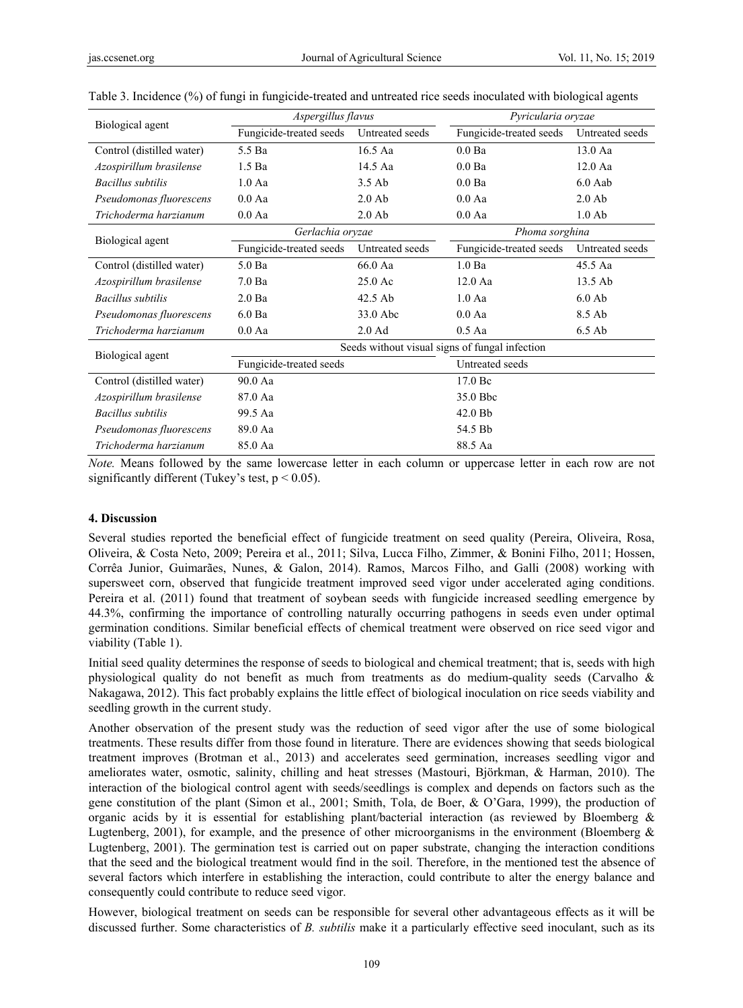|                           | Aspergillus flavus                             |                    | Pyricularia oryzae      |                                    |  |  |
|---------------------------|------------------------------------------------|--------------------|-------------------------|------------------------------------|--|--|
| Biological agent          | Fungicide-treated seeds                        | Untreated seeds    | Fungicide-treated seeds | Untreated seeds                    |  |  |
| Control (distilled water) | 5.5 Ba                                         | 16.5 Aa            | $0.0$ Ba                | 13.0 Aa                            |  |  |
| Azospirillum brasilense   | 1.5 <sub>Ba</sub>                              | 14.5 Aa            | 0.0 <sub>Ba</sub>       | $12.0$ Aa<br>$6.0$ Aab<br>$2.0$ Ab |  |  |
| <b>Bacillus</b> subtilis  | 1.0Aa                                          | $3.5$ Ab           | 0.0 <sub>Ba</sub>       |                                    |  |  |
| Pseudomonas fluorescens   | 0.0 Aa                                         | $2.0$ Ab           | 0.0 Aa                  |                                    |  |  |
| Trichoderma harzianum     | 0.0 Aa                                         | $2.0$ Ab<br>0.0 Aa |                         | $1.0$ Ab                           |  |  |
|                           | Gerlachia oryzae                               |                    | Phoma sorghina          |                                    |  |  |
| Biological agent          | Fungicide-treated seeds                        | Untreated seeds    | Fungicide-treated seeds | Untreated seeds                    |  |  |
| Control (distilled water) | $5.0$ Ba                                       | 66.0 Aa            | 1.0 <sub>Ba</sub>       | 45.5 Aa                            |  |  |
| Azospirillum brasilense   | 7.0 <sub>Ba</sub>                              | $25.0$ Ac          | $12.0$ Aa               | 13.5 Ab                            |  |  |
| <b>Bacillus</b> subtilis  | 2.0 <sub>Ba</sub>                              | 42.5 Ab            | 1.0 Aa                  | $6.0$ Ab                           |  |  |
| Pseudomonas fluorescens   | $6.0$ Ba                                       |                    | 0.0 Aa                  | 8.5 Ab                             |  |  |
| Trichoderma harzianum     | 0.0 Aa                                         | $2.0$ Ad           | $0.5$ Aa                | $6.5$ Ab                           |  |  |
|                           | Seeds without visual signs of fungal infection |                    |                         |                                    |  |  |
| Biological agent          | Fungicide-treated seeds                        |                    | Untreated seeds         |                                    |  |  |
| Control (distilled water) | 90.0 Aa                                        |                    | 17.0 Bc                 |                                    |  |  |
| Azospirillum brasilense   | 87.0 Aa                                        |                    | 35.0 Bbc                |                                    |  |  |
| <b>Bacillus</b> subtilis  | 99.5 Aa                                        |                    | $42.0$ Bb               |                                    |  |  |
| Pseudomonas fluorescens   | 89.0 Aa                                        |                    | 54.5 Bb                 |                                    |  |  |
| Trichoderma harzianum     | 85.0 Aa                                        |                    | 88.5 Aa                 |                                    |  |  |

| Table 3. Incidence (%) of fungi in fungicide-treated and untreated rice seeds inoculated with biological agents |  |  |  |  |  |
|-----------------------------------------------------------------------------------------------------------------|--|--|--|--|--|
|                                                                                                                 |  |  |  |  |  |

*Note.* Means followed by the same lowercase letter in each column or uppercase letter in each row are not significantly different (Tukey's test,  $p < 0.05$ ).

### **4. Discussion**

Several studies reported the beneficial effect of fungicide treatment on seed quality (Pereira, Oliveira, Rosa, Oliveira, & Costa Neto, 2009; Pereira et al., 2011; Silva, Lucca Filho, Zimmer, & Bonini Filho, 2011; Hossen, Corrêa Junior, Guimarães, Nunes, & Galon, 2014). Ramos, Marcos Filho, and Galli (2008) working with supersweet corn, observed that fungicide treatment improved seed vigor under accelerated aging conditions. Pereira et al. (2011) found that treatment of soybean seeds with fungicide increased seedling emergence by 44.3%, confirming the importance of controlling naturally occurring pathogens in seeds even under optimal germination conditions. Similar beneficial effects of chemical treatment were observed on rice seed vigor and viability (Table 1).

Initial seed quality determines the response of seeds to biological and chemical treatment; that is, seeds with high physiological quality do not benefit as much from treatments as do medium-quality seeds (Carvalho & Nakagawa, 2012). This fact probably explains the little effect of biological inoculation on rice seeds viability and seedling growth in the current study.

Another observation of the present study was the reduction of seed vigor after the use of some biological treatments. These results differ from those found in literature. There are evidences showing that seeds biological treatment improves (Brotman et al., 2013) and accelerates seed germination, increases seedling vigor and ameliorates water, osmotic, salinity, chilling and heat stresses (Mastouri, Björkman, & Harman, 2010). The interaction of the biological control agent with seeds/seedlings is complex and depends on factors such as the gene constitution of the plant (Simon et al., 2001; Smith, Tola, de Boer, & O'Gara, 1999), the production of organic acids by it is essential for establishing plant/bacterial interaction (as reviewed by Bloemberg  $\&$ Lugtenberg, 2001), for example, and the presence of other microorganisms in the environment (Bloemberg  $\&$ Lugtenberg, 2001). The germination test is carried out on paper substrate, changing the interaction conditions that the seed and the biological treatment would find in the soil. Therefore, in the mentioned test the absence of several factors which interfere in establishing the interaction, could contribute to alter the energy balance and consequently could contribute to reduce seed vigor.

However, biological treatment on seeds can be responsible for several other advantageous effects as it will be discussed further. Some characteristics of *B. subtilis* make it a particularly effective seed inoculant, such as its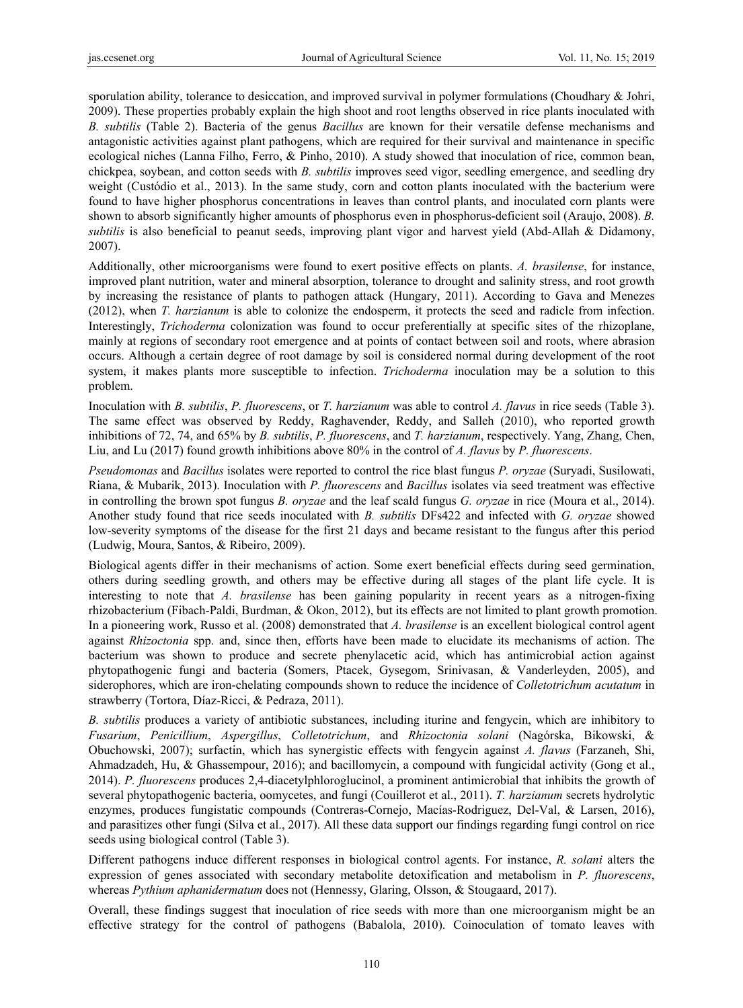sporulation ability, tolerance to desiccation, and improved survival in polymer formulations (Choudhary & Johri, 2009). These properties probably explain the high shoot and root lengths observed in rice plants inoculated with *B. subtilis* (Table 2). Bacteria of the genus *Bacillus* are known for their versatile defense mechanisms and antagonistic activities against plant pathogens, which are required for their survival and maintenance in specific ecological niches (Lanna Filho, Ferro, & Pinho, 2010). A study showed that inoculation of rice, common bean, chickpea, soybean, and cotton seeds with *B. subtilis* improves seed vigor, seedling emergence, and seedling dry weight (Custódio et al., 2013). In the same study, corn and cotton plants inoculated with the bacterium were found to have higher phosphorus concentrations in leaves than control plants, and inoculated corn plants were shown to absorb significantly higher amounts of phosphorus even in phosphorus-deficient soil (Araujo, 2008). *B. subtilis* is also beneficial to peanut seeds, improving plant vigor and harvest yield (Abd-Allah & Didamony, 2007).

Additionally, other microorganisms were found to exert positive effects on plants. *A. brasilense*, for instance, improved plant nutrition, water and mineral absorption, tolerance to drought and salinity stress, and root growth by increasing the resistance of plants to pathogen attack (Hungary, 2011). According to Gava and Menezes (2012), when *T. harzianum* is able to colonize the endosperm, it protects the seed and radicle from infection. Interestingly, *Trichoderma* colonization was found to occur preferentially at specific sites of the rhizoplane, mainly at regions of secondary root emergence and at points of contact between soil and roots, where abrasion occurs. Although a certain degree of root damage by soil is considered normal during development of the root system, it makes plants more susceptible to infection. *Trichoderma* inoculation may be a solution to this problem.

Inoculation with *B. subtilis*, *P. fluorescens*, or *T. harzianum* was able to control *A. flavus* in rice seeds (Table 3). The same effect was observed by Reddy, Raghavender, Reddy, and Salleh (2010), who reported growth inhibitions of 72, 74, and 65% by *B. subtilis*, *P. fluorescens*, and *T. harzianum*, respectively. Yang, Zhang, Chen, Liu, and Lu (2017) found growth inhibitions above 80% in the control of *A. flavus* by *P. fluorescens*.

*Pseudomonas* and *Bacillus* isolates were reported to control the rice blast fungus *P. oryzae* (Suryadi, Susilowati, Riana, & Mubarik, 2013). Inoculation with *P. fluorescens* and *Bacillus* isolates via seed treatment was effective in controlling the brown spot fungus *B. oryzae* and the leaf scald fungus *G. oryzae* in rice (Moura et al., 2014). Another study found that rice seeds inoculated with *B. subtilis* DFs422 and infected with *G. oryzae* showed low-severity symptoms of the disease for the first 21 days and became resistant to the fungus after this period (Ludwig, Moura, Santos, & Ribeiro, 2009).

Biological agents differ in their mechanisms of action. Some exert beneficial effects during seed germination, others during seedling growth, and others may be effective during all stages of the plant life cycle. It is interesting to note that *A. brasilense* has been gaining popularity in recent years as a nitrogen-fixing rhizobacterium (Fibach-Paldi, Burdman, & Okon, 2012), but its effects are not limited to plant growth promotion. In a pioneering work, Russo et al. (2008) demonstrated that *A. brasilense* is an excellent biological control agent against *Rhizoctonia* spp. and, since then, efforts have been made to elucidate its mechanisms of action. The bacterium was shown to produce and secrete phenylacetic acid, which has antimicrobial action against phytopathogenic fungi and bacteria (Somers, Ptacek, Gysegom, Srinivasan, & Vanderleyden, 2005), and siderophores, which are iron-chelating compounds shown to reduce the incidence of *Colletotrichum acutatum* in strawberry (Tortora, Díaz-Ricci, & Pedraza, 2011).

*B. subtilis* produces a variety of antibiotic substances, including iturine and fengycin, which are inhibitory to *Fusarium*, *Penicillium*, *Aspergillus*, *Colletotrichum*, and *Rhizoctonia solani* (Nagórska, Bikowski, & Obuchowski, 2007); surfactin, which has synergistic effects with fengycin against *A. flavus* (Farzaneh, Shi, Ahmadzadeh, Hu, & Ghassempour, 2016); and bacillomycin, a compound with fungicidal activity (Gong et al., 2014). *P. fluorescens* produces 2,4-diacetylphloroglucinol, a prominent antimicrobial that inhibits the growth of several phytopathogenic bacteria, oomycetes, and fungi (Couillerot et al., 2011). *T. harzianum* secrets hydrolytic enzymes, produces fungistatic compounds (Contreras-Cornejo, Macías-Rodriguez, Del-Val, & Larsen, 2016), and parasitizes other fungi (Silva et al., 2017). All these data support our findings regarding fungi control on rice seeds using biological control (Table 3).

Different pathogens induce different responses in biological control agents. For instance, *R. solani* alters the expression of genes associated with secondary metabolite detoxification and metabolism in *P. fluorescens*, whereas *Pythium aphanidermatum* does not (Hennessy, Glaring, Olsson, & Stougaard, 2017).

Overall, these findings suggest that inoculation of rice seeds with more than one microorganism might be an effective strategy for the control of pathogens (Babalola, 2010). Coinoculation of tomato leaves with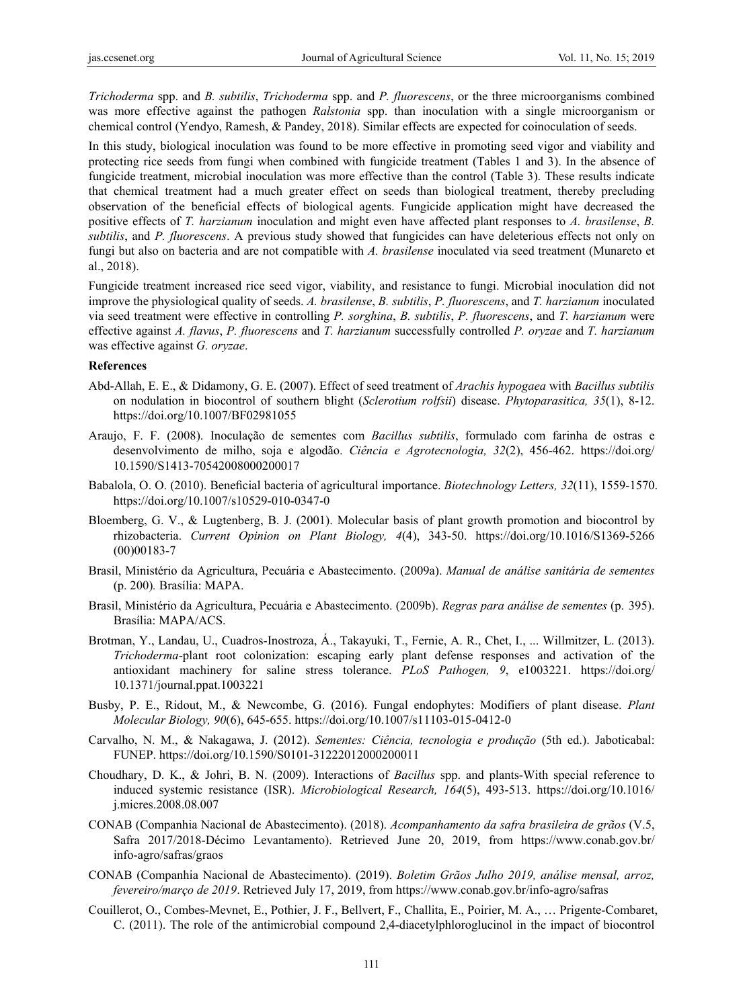*Trichoderma* spp. and *B. subtilis*, *Trichoderma* spp. and *P. fluorescens*, or the three microorganisms combined was more effective against the pathogen *Ralstonia* spp. than inoculation with a single microorganism or chemical control (Yendyo, Ramesh, & Pandey, 2018). Similar effects are expected for coinoculation of seeds.

In this study, biological inoculation was found to be more effective in promoting seed vigor and viability and protecting rice seeds from fungi when combined with fungicide treatment (Tables 1 and 3). In the absence of fungicide treatment, microbial inoculation was more effective than the control (Table 3). These results indicate that chemical treatment had a much greater effect on seeds than biological treatment, thereby precluding observation of the beneficial effects of biological agents. Fungicide application might have decreased the positive effects of *T. harzianum* inoculation and might even have affected plant responses to *A. brasilense*, *B. subtilis*, and *P. fluorescens*. A previous study showed that fungicides can have deleterious effects not only on fungi but also on bacteria and are not compatible with *A. brasilense* inoculated via seed treatment (Munareto et al., 2018).

Fungicide treatment increased rice seed vigor, viability, and resistance to fungi. Microbial inoculation did not improve the physiological quality of seeds. *A. brasilense*, *B. subtilis*, *P. fluorescens*, and *T. harzianum* inoculated via seed treatment were effective in controlling *P. sorghina*, *B. subtilis*, *P. fluorescens*, and *T. harzianum* were effective against *A. flavus*, *P. fluorescens* and *T. harzianum* successfully controlled *P. oryzae* and *T. harzianum* was effective against *G. oryzae*.

#### **References**

- Abd-Allah, E. E., & Didamony, G. E. (2007). Effect of seed treatment of *Arachis hypogaea* with *Bacillus subtilis* on nodulation in biocontrol of southern blight (*Sclerotium rolfsii*) disease. *Phytoparasitica, 35*(1), 8-12. https://doi.org/10.1007/BF02981055
- Araujo, F. F. (2008). Inoculação de sementes com *Bacillus subtilis*, formulado com farinha de ostras e desenvolvimento de milho, soja e algodão. *Ciência e Agrotecnologia, 32*(2), 456-462. https://doi.org/ 10.1590/S1413-70542008000200017
- Babalola, O. O. (2010). Beneficial bacteria of agricultural importance. *Biotechnology Letters, 32*(11), 1559-1570. https://doi.org/10.1007/s10529-010-0347-0
- Bloemberg, G. V., & Lugtenberg, B. J. (2001). Molecular basis of plant growth promotion and biocontrol by rhizobacteria. *Current Opinion on Plant Biology, 4*(4), 343-50. https://doi.org/10.1016/S1369-5266 (00)00183-7
- Brasil, Ministério da Agricultura, Pecuária e Abastecimento. (2009a). *Manual de análise sanitária de sementes*  (p. 200)*.* Brasília: MAPA.
- Brasil, Ministério da Agricultura, Pecuária e Abastecimento. (2009b). *Regras para análise de sementes* (p. 395). Brasília: MAPA/ACS.
- Brotman, Y., Landau, U., Cuadros-Inostroza, Á., Takayuki, T., Fernie, A. R., Chet, I., ... Willmitzer, L. (2013). *Trichoderma*-plant root colonization: escaping early plant defense responses and activation of the antioxidant machinery for saline stress tolerance. *PLoS Pathogen, 9*, e1003221. https://doi.org/ 10.1371/journal.ppat.1003221
- Busby, P. E., Ridout, M., & Newcombe, G. (2016). Fungal endophytes: Modifiers of plant disease. *Plant Molecular Biology, 90*(6), 645-655. https://doi.org/10.1007/s11103-015-0412-0
- Carvalho, N. M., & Nakagawa, J. (2012). *Sementes: Ciência, tecnologia e produção* (5th ed.). Jaboticabal: FUNEP. https://doi.org/10.1590/S0101-31222012000200011
- Choudhary, D. K., & Johri, B. N. (2009). Interactions of *Bacillus* spp. and plants-With special reference to induced systemic resistance (ISR). *Microbiological Research, 164*(5), 493-513. https://doi.org/10.1016/ j.micres.2008.08.007
- CONAB (Companhia Nacional de Abastecimento). (2018). *Acompanhamento da safra brasileira de grãos* (V.5, Safra 2017/2018-Décimo Levantamento). Retrieved June 20, 2019, from https://www.conab.gov.br/ info-agro/safras/graos
- CONAB (Companhia Nacional de Abastecimento). (2019). *Boletim Grãos Julho 2019, análise mensal, arroz, fevereiro/março de 2019*. Retrieved July 17, 2019, from https://www.conab.gov.br/info-agro/safras
- Couillerot, O., Combes-Mevnet, E., Pothier, J. F., Bellvert, F., Challita, E., Poirier, M. A., … Prigente-Combaret, C. (2011). The role of the antimicrobial compound 2,4-diacetylphloroglucinol in the impact of biocontrol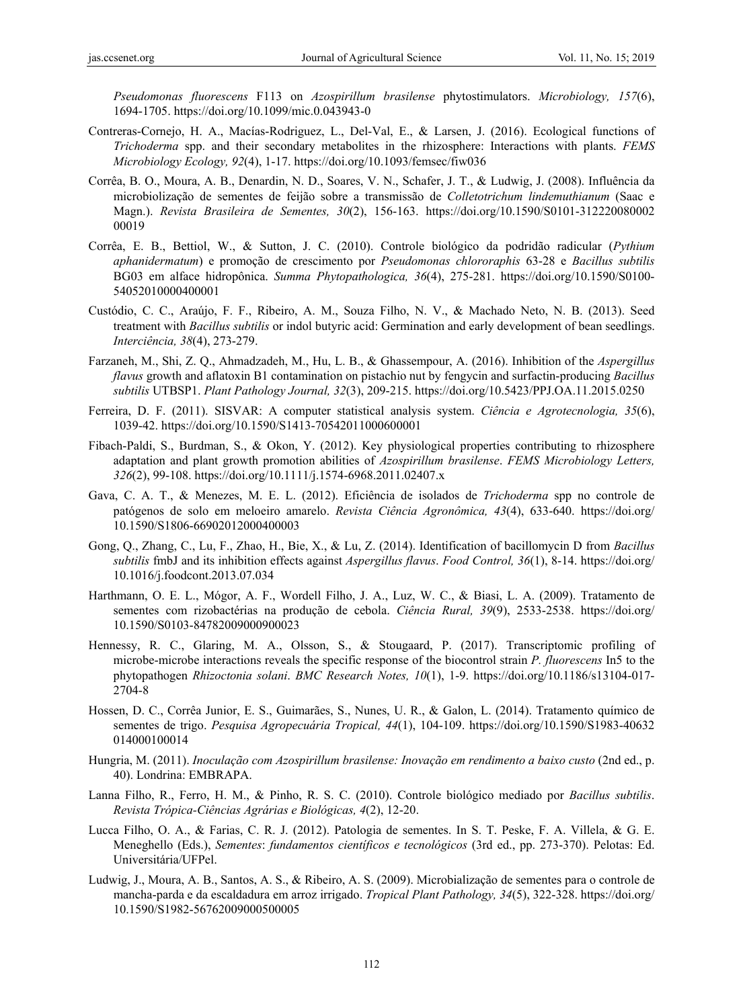*Pseudomonas fluorescens* F113 on *Azospirillum brasilense* phytostimulators. *Microbiology, 157*(6), 1694-1705. https://doi.org/10.1099/mic.0.043943-0

- Contreras-Cornejo, H. A., Macías-Rodriguez, L., Del-Val, E., & Larsen, J. (2016). Ecological functions of *Trichoderma* spp. and their secondary metabolites in the rhizosphere: Interactions with plants. *FEMS Microbiology Ecology, 92*(4), 1-17. https://doi.org/10.1093/femsec/fiw036
- Corrêa, B. O., Moura, A. B., Denardin, N. D., Soares, V. N., Schafer, J. T., & Ludwig, J. (2008). Influência da microbiolização de sementes de feijão sobre a transmissão de *Colletotrichum lindemuthianum* (Saac e Magn.). *Revista Brasileira de Sementes, 30*(2), 156-163. https://doi.org/10.1590/S0101-312220080002 00019
- Corrêa, E. B., Bettiol, W., & Sutton, J. C. (2010). Controle biológico da podridão radicular (*Pythium aphanidermatum*) e promoção de crescimento por *Pseudomonas chlororaphis* 63-28 e *Bacillus subtilis* BG03 em alface hidropônica. *Summa Phytopathologica, 36*(4), 275-281. https://doi.org/10.1590/S0100- 54052010000400001
- Custódio, C. C., Araújo, F. F., Ribeiro, A. M., Souza Filho, N. V., & Machado Neto, N. B. (2013). Seed treatment with *Bacillus subtilis* or indol butyric acid: Germination and early development of bean seedlings. *Interciência, 38*(4), 273-279.
- Farzaneh, M., Shi, Z. Q., Ahmadzadeh, M., Hu, L. B., & Ghassempour, A. (2016). Inhibition of the *Aspergillus flavus* growth and aflatoxin B1 contamination on pistachio nut by fengycin and surfactin-producing *Bacillus subtilis* UTBSP1. *Plant Pathology Journal, 32*(3), 209-215. https://doi.org/10.5423/PPJ.OA.11.2015.0250
- Ferreira, D. F. (2011). SISVAR: A computer statistical analysis system. *Ciência e Agrotecnologia, 35*(6), 1039-42. https://doi.org/10.1590/S1413-70542011000600001
- Fibach-Paldi, S., Burdman, S., & Okon, Y. (2012). Key physiological properties contributing to rhizosphere adaptation and plant growth promotion abilities of *Azospirillum brasilense*. *FEMS Microbiology Letters, 326*(2), 99-108. https://doi.org/10.1111/j.1574-6968.2011.02407.x
- Gava, C. A. T., & Menezes, M. E. L. (2012). Eficiência de isolados de *Trichoderma* spp no controle de patógenos de solo em meloeiro amarelo. *Revista Ciência Agronômica, 43*(4), 633-640. https://doi.org/ 10.1590/S1806-66902012000400003
- Gong, Q., Zhang, C., Lu, F., Zhao, H., Bie, X., & Lu, Z. (2014). Identification of bacillomycin D from *Bacillus subtilis* fmbJ and its inhibition effects against *Aspergillus flavus*. *Food Control, 36*(1), 8-14. https://doi.org/ 10.1016/j.foodcont.2013.07.034
- Harthmann, O. E. L., Mógor, A. F., Wordell Filho, J. A., Luz, W. C., & Biasi, L. A. (2009). Tratamento de sementes com rizobactérias na produção de cebola. *Ciência Rural, 39*(9), 2533-2538. https://doi.org/ 10.1590/S0103-84782009000900023
- Hennessy, R. C., Glaring, M. A., Olsson, S., & Stougaard, P. (2017). Transcriptomic profiling of microbe-microbe interactions reveals the specific response of the biocontrol strain *P. fluorescens* In5 to the phytopathogen *Rhizoctonia solani*. *BMC Research Notes, 10*(1), 1-9. https://doi.org/10.1186/s13104-017- 2704-8
- Hossen, D. C., Corrêa Junior, E. S., Guimarães, S., Nunes, U. R., & Galon, L. (2014). Tratamento químico de sementes de trigo. *Pesquisa Agropecuária Tropical, 44*(1), 104-109. https://doi.org/10.1590/S1983-40632 014000100014
- Hungria, M. (2011). *Inoculação com Azospirillum brasilense: Inovação em rendimento a baixo custo* (2nd ed., p. 40). Londrina: EMBRAPA.
- Lanna Filho, R., Ferro, H. M., & Pinho, R. S. C. (2010). Controle biológico mediado por *Bacillus subtilis*. *Revista Trópica-Ciências Agrárias e Biológicas, 4*(2), 12-20.
- Lucca Filho, O. A., & Farias, C. R. J. (2012). Patologia de sementes. In S. T. Peske, F. A. Villela, & G. E. Meneghello (Eds.), *Sementes*: *fundamentos científicos e tecnológicos* (3rd ed., pp. 273-370). Pelotas: Ed. Universitária/UFPel.
- Ludwig, J., Moura, A. B., Santos, A. S., & Ribeiro, A. S. (2009). Microbialização de sementes para o controle de mancha-parda e da escaldadura em arroz irrigado. *Tropical Plant Pathology, 34*(5), 322-328. https://doi.org/ 10.1590/S1982-56762009000500005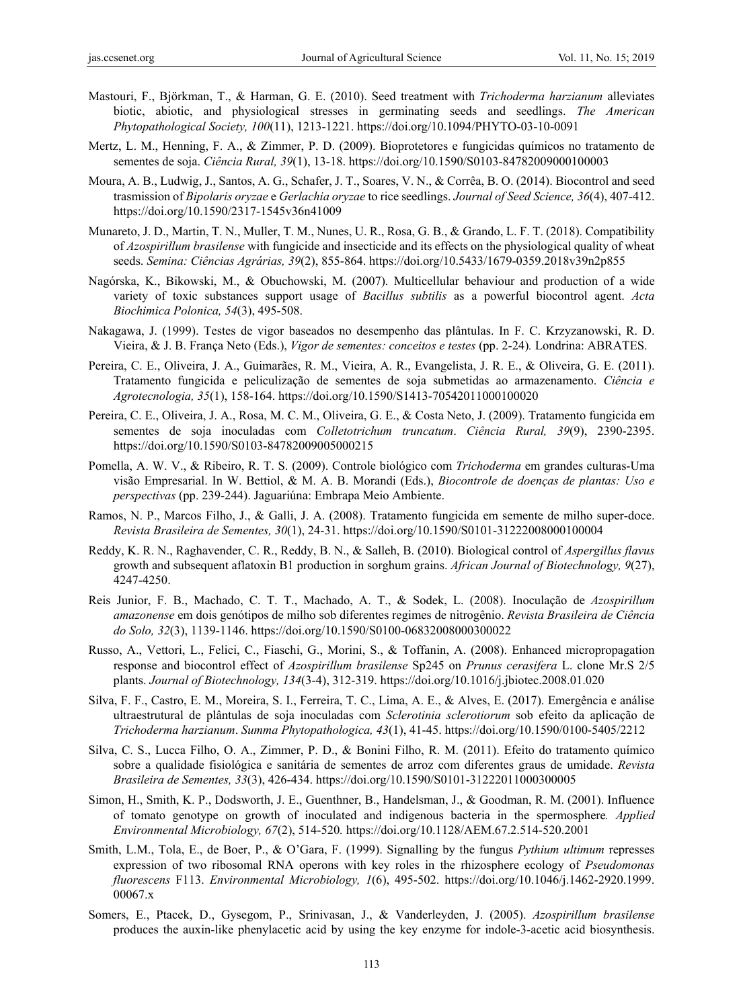- Mastouri, F., Björkman, T., & Harman, G. E. (2010). Seed treatment with *Trichoderma harzianum* alleviates biotic, abiotic, and physiological stresses in germinating seeds and seedlings. *The American Phytopathological Society, 100*(11), 1213-1221. https://doi.org/10.1094/PHYTO-03-10-0091
- Mertz, L. M., Henning, F. A., & Zimmer, P. D. (2009). Bioprotetores e fungicidas químicos no tratamento de sementes de soja. *Ciência Rural, 39*(1), 13-18. https://doi.org/10.1590/S0103-84782009000100003
- Moura, A. B., Ludwig, J., Santos, A. G., Schafer, J. T., Soares, V. N., & Corrêa, B. O. (2014). Biocontrol and seed trasmission of *Bipolaris oryzae* e *Gerlachia oryzae* to rice seedlings. *Journal of Seed Science, 36*(4), 407-412. https://doi.org/10.1590/2317-1545v36n41009
- Munareto, J. D., Martin, T. N., Muller, T. M., Nunes, U. R., Rosa, G. B., & Grando, L. F. T. (2018). Compatibility of *Azospirillum brasilense* with fungicide and insecticide and its effects on the physiological quality of wheat seeds. *Semina: Ciências Agrárias, 39*(2), 855-864. https://doi.org/10.5433/1679-0359.2018v39n2p855
- Nagórska, K., Bikowski, M., & Obuchowski, M. (2007). Multicellular behaviour and production of a wide variety of toxic substances support usage of *Bacillus subtilis* as a powerful biocontrol agent. *Acta Biochimica Polonica, 54*(3), 495-508.
- Nakagawa, J. (1999). Testes de vigor baseados no desempenho das plântulas. In F. C. Krzyzanowski, R. D. Vieira, & J. B. França Neto (Eds.), *Vigor de sementes: conceitos e testes* (pp. 2-24)*.* Londrina: ABRATES.
- Pereira, C. E., Oliveira, J. A., Guimarães, R. M., Vieira, A. R., Evangelista, J. R. E., & Oliveira, G. E. (2011). Tratamento fungicida e peliculização de sementes de soja submetidas ao armazenamento. *Ciência e Agrotecnologia, 35*(1), 158-164. https://doi.org/10.1590/S1413-70542011000100020
- Pereira, C. E., Oliveira, J. A., Rosa, M. C. M., Oliveira, G. E., & Costa Neto, J. (2009). Tratamento fungicida em sementes de soja inoculadas com *Colletotrichum truncatum*. *Ciência Rural, 39*(9), 2390-2395. https://doi.org/10.1590/S0103-84782009005000215
- Pomella, A. W. V., & Ribeiro, R. T. S. (2009). Controle biológico com *Trichoderma* em grandes culturas-Uma visão Empresarial. In W. Bettiol, & M. A. B. Morandi (Eds.), *Biocontrole de doenças de plantas: Uso e perspectivas* (pp. 239-244). Jaguariúna: Embrapa Meio Ambiente.
- Ramos, N. P., Marcos Filho, J., & Galli, J. A. (2008). Tratamento fungicida em semente de milho super-doce. *Revista Brasileira de Sementes, 30*(1), 24-31. https://doi.org/10.1590/S0101-31222008000100004
- Reddy, K. R. N., Raghavender, C. R., Reddy, B. N., & Salleh, B. (2010). Biological control of *Aspergillus flavus*  growth and subsequent aflatoxin B1 production in sorghum grains. *African Journal of Biotechnology, 9*(27), 4247-4250.
- Reis Junior, F. B., Machado, C. T. T., Machado, A. T., & Sodek, L. (2008). Inoculação de *Azospirillum amazonense* em dois genótipos de milho sob diferentes regimes de nitrogênio. *Revista Brasileira de Ciência do Solo, 32*(3), 1139-1146. https://doi.org/10.1590/S0100-06832008000300022
- Russo, A., Vettori, L., Felici, C., Fiaschi, G., Morini, S., & Toffanin, A. (2008). Enhanced micropropagation response and biocontrol effect of *Azospirillum brasilense* Sp245 on *Prunus cerasifera* L. clone Mr.S 2/5 plants. *Journal of Biotechnology, 134*(3-4), 312-319. https://doi.org/10.1016/j.jbiotec.2008.01.020
- Silva, F. F., Castro, E. M., Moreira, S. I., Ferreira, T. C., Lima, A. E., & Alves, E. (2017). Emergência e análise ultraestrutural de plântulas de soja inoculadas com *Sclerotinia sclerotiorum* sob efeito da aplicação de *Trichoderma harzianum*. *Summa Phytopathologica, 43*(1), 41-45. https://doi.org/10.1590/0100-5405/2212
- Silva, C. S., Lucca Filho, O. A., Zimmer, P. D., & Bonini Filho, R. M. (2011). Efeito do tratamento químico sobre a qualidade fisiológica e sanitária de sementes de arroz com diferentes graus de umidade. *Revista Brasileira de Sementes, 33*(3), 426-434. https://doi.org/10.1590/S0101-31222011000300005
- Simon, H., Smith, K. P., Dodsworth, J. E., Guenthner, B., Handelsman, J., & Goodman, R. M. (2001). Influence of tomato genotype on growth of inoculated and indigenous bacteria in the spermosphere*. Applied Environmental Microbiology, 67*(2), 514-520*.* https://doi.org/10.1128/AEM.67.2.514-520.2001
- Smith, L.M., Tola, E., de Boer, P., & O'Gara, F. (1999). Signalling by the fungus *Pythium ultimum* represses expression of two ribosomal RNA operons with key roles in the rhizosphere ecology of *Pseudomonas fluorescens* F113. *Environmental Microbiology, 1*(6), 495-502. https://doi.org/10.1046/j.1462-2920.1999. 00067.x
- Somers, E., Ptacek, D., Gysegom, P., Srinivasan, J., & Vanderleyden, J. (2005). *Azospirillum brasilense* produces the auxin-like phenylacetic acid by using the key enzyme for indole-3-acetic acid biosynthesis.